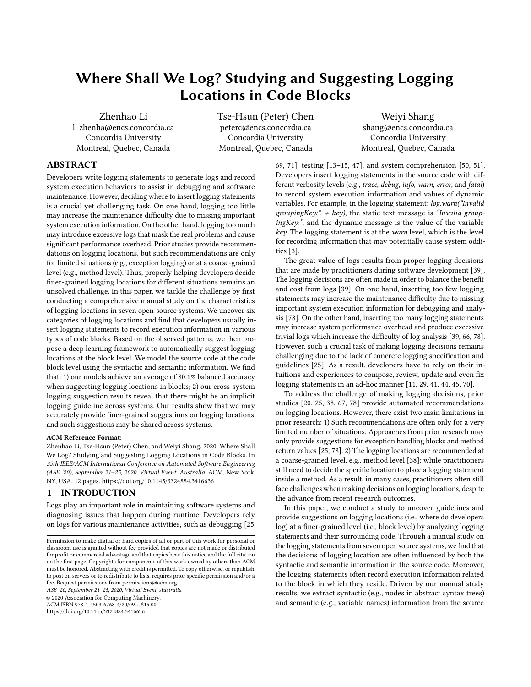# Where Shall We Log? Studying and Suggesting Logging Locations in Code Blocks

Zhenhao Li l\_zhenha@encs.concordia.ca Concordia University Montreal, Quebec, Canada

Tse-Hsun (Peter) Chen peterc@encs.concordia.ca Concordia University Montreal, Quebec, Canada

Weiyi Shang shang@encs.concordia.ca Concordia University Montreal, Quebec, Canada

## ABSTRACT

Developers write logging statements to generate logs and record system execution behaviors to assist in debugging and software maintenance. However, deciding where to insert logging statements is a crucial yet challenging task. On one hand, logging too little may increase the maintenance difficulty due to missing important system execution information. On the other hand, logging too much may introduce excessive logs that mask the real problems and cause significant performance overhead. Prior studies provide recommendations on logging locations, but such recommendations are only for limited situations (e.g., exception logging) or at a coarse-grained level (e.g., method level). Thus, properly helping developers decide finer-grained logging locations for different situations remains an unsolved challenge. In this paper, we tackle the challenge by first conducting a comprehensive manual study on the characteristics of logging locations in seven open-source systems. We uncover six categories of logging locations and find that developers usually insert logging statements to record execution information in various types of code blocks. Based on the observed patterns, we then propose a deep learning framework to automatically suggest logging locations at the block level. We model the source code at the code block level using the syntactic and semantic information. We find that: 1) our models achieve an average of 80.1% balanced accuracy when suggesting logging locations in blocks; 2) our cross-system logging suggestion results reveal that there might be an implicit logging guideline across systems. Our results show that we may accurately provide finer-grained suggestions on logging locations, and such suggestions may be shared across systems.

#### ACM Reference Format:

Zhenhao Li, Tse-Hsun (Peter) Chen, and Weiyi Shang. 2020. Where Shall We Log? Studying and Suggesting Logging Locations in Code Blocks. In 35th IEEE/ACM International Conference on Automated Software Engineering (ASE '20), September 21–25, 2020, Virtual Event, Australia. ACM, New York, NY, USA, 12 pages. https://doi.org/10.1145/3324884.3416636

### 1 INTRODUCTION

Logs play an important role in maintaining software systems and diagnosing issues that happen during runtime. Developers rely on logs for various maintenance activities, such as debugging [25,

ASE '20, September 21–25, 2020, Virtual Event, Australia

© 2020 Association for Computing Machinery.

ACM ISBN 978-1-4503-6768-4/20/09. . . \$15.00

https://doi.org/10.1145/3324884.3416636

69, 71], testing [13–15, 47], and system comprehension [50, 51]. Developers insert logging statements in the source code with different verbosity levels (e.g., trace, debug, info, warn, error, and fatal) to record system execution information and values of dynamic variables. For example, in the logging statement: log.warn("Invalid groupingKey:",  $+$  key), the static text message is "Invalid groupingKey:", and the dynamic message is the value of the variable key. The logging statement is at the warn level, which is the level for recording information that may potentially cause system oddities [3].

The great value of logs results from proper logging decisions that are made by practitioners during software development [39]. The logging decisions are often made in order to balance the benefit and cost from logs [39]. On one hand, inserting too few logging statements may increase the maintenance difficulty due to missing important system execution information for debugging and analysis [78]. On the other hand, inserting too many logging statements may increase system performance overhead and produce excessive trivial logs which increase the difficulty of log analysis [39, 66, 78]. However, such a crucial task of making logging decisions remains challenging due to the lack of concrete logging specification and guidelines [25]. As a result, developers have to rely on their intuitions and experiences to compose, review, update and even fix logging statements in an ad-hoc manner [11, 29, 41, 44, 45, 70].

To address the challenge of making logging decisions, prior studies [20, 25, 38, 67, 78] provide automated recommendations on logging locations. However, there exist two main limitations in prior research: 1) Such recommendations are often only for a very limited number of situations. Approaches from prior research may only provide suggestions for exception handling blocks and method return values [25, 78]. 2) The logging locations are recommended at a coarse-grained level, e.g., method level [38]; while practitioners still need to decide the specific location to place a logging statement inside a method. As a result, in many cases, practitioners often still face challenges when making decisions on logging locations, despite the advance from recent research outcomes.

In this paper, we conduct a study to uncover guidelines and provide suggestions on logging locations (i.e., where do developers log) at a finer-grained level (i.e., block level) by analyzing logging statements and their surrounding code. Through a manual study on the logging statements from seven open source systems, we find that the decisions of logging location are often influenced by both the syntactic and semantic information in the source code. Moreover, the logging statements often record execution information related to the block in which they reside. Driven by our manual study results, we extract syntactic (e.g., nodes in abstract syntax trees) and semantic (e.g., variable names) information from the source

Permission to make digital or hard copies of all or part of this work for personal or classroom use is granted without fee provided that copies are not made or distributed for profit or commercial advantage and that copies bear this notice and the full citation on the first page. Copyrights for components of this work owned by others than ACM must be honored. Abstracting with credit is permitted. To copy otherwise, or republish, to post on servers or to redistribute to lists, requires prior specific permission and/or a fee. Request permissions from permissions@acm.org.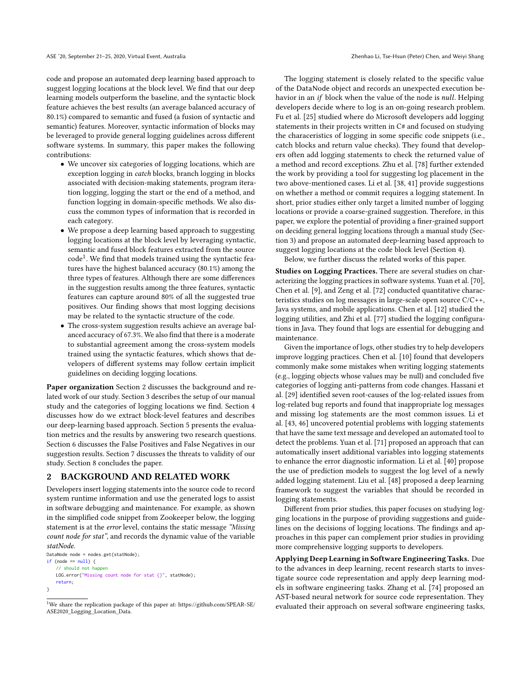code and propose an automated deep learning based approach to suggest logging locations at the block level. We find that our deep learning models outperform the baseline, and the syntactic block feature achieves the best results (an average balanced accuracy of 80.1%) compared to semantic and fused (a fusion of syntactic and semantic) features. Moreover, syntactic information of blocks may be leveraged to provide general logging guidelines across different software systems. In summary, this paper makes the following contributions:

- We uncover six categories of logging locations, which are exception logging in catch blocks, branch logging in blocks associated with decision-making statements, program iteration logging, logging the start or the end of a method, and function logging in domain-specific methods. We also discuss the common types of information that is recorded in each category.
- We propose a deep learning based approach to suggesting logging locations at the block level by leveraging syntactic, semantic and fused block features extracted from the source  $\text{code}^1$ . We find that models trained using the syntactic features have the highest balanced accuracy (80.1%) among the three types of features. Although there are some differences in the suggestion results among the three features, syntactic features can capture around 80% of all the suggested true positives. Our finding shows that most logging decisions may be related to the syntactic structure of the code.
- The cross-system suggestion results achieve an average balanced accuracy of 67.3%. We also find that there is a moderate to substantial agreement among the cross-system models trained using the syntactic features, which shows that developers of different systems may follow certain implicit guidelines on deciding logging locations.

Paper organization Section 2 discusses the background and related work of our study. Section 3 describes the setup of our manual study and the categories of logging locations we find. Section 4 discusses how do we extract block-level features and describes our deep-learning based approach. Section 5 presents the evaluation metrics and the results by answering two research questions. Section 6 discusses the False Positives and False Negatives in our suggestion results. Section 7 discusses the threats to validity of our study. Section 8 concludes the paper.

## 2 BACKGROUND AND RELATED WORK

Developers insert logging statements into the source code to record system runtime information and use the generated logs to assist in software debugging and maintenance. For example, as shown in the simplified code snippet from Zookeeper below, the logging statement is at the error level, contains the static message "Missing count node for stat", and records the dynamic value of the variable statNode.

```
DataNode node = nodes.get(statNode);
if (node == null) {
   // should not happen
   LOG.error("Missing count node for stat {}", statNode);
   return;
}
```
The logging statement is closely related to the specific value of the DataNode object and records an unexpected execution behavior in an if block when the value of the node is null. Helping developers decide where to log is an on-going research problem. Fu et al. [25] studied where do Microsoft developers add logging statements in their projects written in C# and focused on studying the characeristics of logging in some specific code snippets (i.e., catch blocks and return value checks). They found that developers often add logging statements to check the returned value of a method and record exceptions. Zhu et al. [78] further extended the work by providing a tool for suggesting log placement in the two above-mentioned cases. Li et al. [38, 41] provide suggestions on whether a method or commit requires a logging statement. In short, prior studies either only target a limited number of logging locations or provide a coarse-grained suggestion. Therefore, in this paper, we explore the potential of providing a finer-grained support on deciding general logging locations through a manual study (Section 3) and propose an automated deep-learning based approach to suggest logging locations at the code block level (Section 4).

Below, we further discuss the related works of this paper.

Studies on Logging Practices. There are several studies on characterizing the logging practices in software systems. Yuan et al. [70], Chen et al. [9], and Zeng et al. [72] conducted quantitative characteristics studies on log messages in large-scale open source C/C++, Java systems, and mobile applications. Chen et al. [12] studied the logging utilities, and Zhi et al. [77] studied the logging configurations in Java. They found that logs are essential for debugging and maintenance.

Given the importance of logs, other studies try to help developers improve logging practices. Chen et al. [10] found that developers commonly make some mistakes when writing logging statements (e.g., logging objects whose values may be null) and concluded five categories of logging anti-patterns from code changes. Hassani et al. [29] identified seven root-causes of the log-related issues from log-related bug reports and found that inappropriate log messages and missing log statements are the most common issues. Li et al. [43, 46] uncovered potential problems with logging statements that have the same text message and developed an automated tool to detect the problems. Yuan et al. [71] proposed an approach that can automatically insert additional variables into logging statements to enhance the error diagnostic information. Li et al. [40] propose the use of prediction models to suggest the log level of a newly added logging statement. Liu et al. [48] proposed a deep learning framework to suggest the variables that should be recorded in logging statements.

Different from prior studies, this paper focuses on studying logging locations in the purpose of providing suggestions and guidelines on the decisions of logging locations. The findings and approaches in this paper can complement prior studies in providing more comprehensive logging supports to developers.

Applying Deep Learning in Software Engineering Tasks. Due to the advances in deep learning, recent research starts to investigate source code representation and apply deep learning models in software engineering tasks. Zhang et al. [74] proposed an AST-based neural network for source code representation. They evaluated their approach on several software engineering tasks,

<sup>1</sup>We share the replication package of this paper at: https://github.com/SPEAR-SE/ ASE2020\_Logging\_Location\_Data.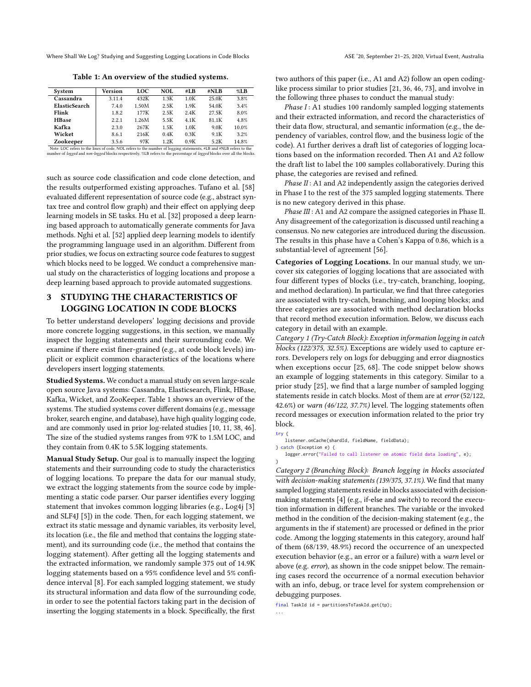Where Shall We Log? Studying and Suggesting Logging Locations in Code Blocks ASE '20, September 21-25, 2020, Virtual Event, Australia

Table 1: An overview of the studied systems.

| System        | Version | <b>LOC</b> | NOL. | #LB  | #NLB  | $\%$ LB |
|---------------|---------|------------|------|------|-------|---------|
| Cassandra     | 3.11.4  | 432K       | 1.3K | 1.0K | 25.0K | 3.8%    |
| ElasticSearch | 7.4.0   | 1.50M      | 2.5K | 1.9K | 54.0K | 3.4%    |
| Flink         | 1.8.2   | 177K       | 2.5K | 2.4K | 27.5K | 8.0%    |
| <b>HBase</b>  | 2.2.1   | 1.26M      | 5.5K | 4.1K | 81.1K | 4.8%    |
| Kafka         | 2.3.0   | 267K       | 1.5K | 1.0K | 9.0K  | 10.0%   |
| Wicket        | 8.6.1   | 216K       | 0.4K | 0.3K | 9.1K  | 3.2%    |
| Zookeeper     | 3.5.6   | 97K        | 1.2K | 0.9K | 5.2K  | 14.8%   |

**Zookeeper**  $\frac{14.8\%}{\text{Note: Log}}$  3.5.6 97K 1.2K 0.9K 5.2K 14.8% 1.8% beset to the number of logging statements, #L8 and #NLE refers to the number of logging statements, #L8 and #NLE refers to the number of logging and *non* 

such as source code classification and code clone detection, and the results outperformed existing approaches. Tufano et al. [58] evaluated different representation of source code (e.g., abstract syntax tree and control flow graph) and their effect on applying deep learning models in SE tasks. Hu et al. [32] proposed a deep learning based approach to automatically generate comments for Java methods. Nghi et al. [52] applied deep learning models to identify the programming language used in an algorithm. Different from prior studies, we focus on extracting source code features to suggest which blocks need to be logged. We conduct a comprehensive manual study on the characteristics of logging locations and propose a deep learning based approach to provide automated suggestions.

## 3 STUDYING THE CHARACTERISTICS OF LOGGING LOCATION IN CODE BLOCKS

To better understand developers' logging decisions and provide more concrete logging suggestions, in this section, we manually inspect the logging statements and their surrounding code. We examine if there exist finer-grained (e.g., at code block levels) implicit or explicit common characteristics of the locations where developers insert logging statements.

Studied Systems. We conduct a manual study on seven large-scale open source Java systems: Cassandra, Elasticsearch, Flink, HBase, Kafka, Wicket, and ZooKeeper. Table 1 shows an overview of the systems. The studied systems cover different domains (e.g., message broker, search engine, and database), have high quality logging code, and are commonly used in prior log-related studies [10, 11, 38, 46]. The size of the studied systems ranges from 97K to 1.5M LOC, and they contain from 0.4K to 5.5K logging statements.

Manual Study Setup. Our goal is to manually inspect the logging statements and their surrounding code to study the characteristics of logging locations. To prepare the data for our manual study, we extract the logging statements from the source code by implementing a static code parser. Our parser identifies every logging statement that invokes common logging libraries (e.g., Log4j [3] and SLF4J [5]) in the code. Then, for each logging statement, we extract its static message and dynamic variables, its verbosity level, its location (i.e., the file and method that contains the logging statement), and its surrounding code (i.e., the method that contains the logging statement). After getting all the logging statements and the extracted information, we randomly sample 375 out of 14.9K logging statements based on a 95% confidence level and 5% confidence interval [8]. For each sampled logging statement, we study its structural information and data flow of the surrounding code, in order to see the potential factors taking part in the decision of inserting the logging statements in a block. Specifically, the first

two authors of this paper (i.e., A1 and A2) follow an open codinglike process similar to prior studies [21, 36, 46, 73], and involve in

the following three phases to conduct the manual study: *Phase I* : A1 studies 100 randomly sampled logging statements and their extracted information, and record the characteristics of their data flow, structural, and semantic information (e.g., the dependency of variables, control flow, and the business logic of the code). A1 further derives a draft list of categories of logging locations based on the information recorded. Then A1 and A2 follow the draft list to label the 100 samples collaboratively. During this phase, the categories are revised and refined.

Phase II: A1 and A2 independently assign the categories derived in Phase I to the rest of the 375 sampled logging statements. There is no new category derived in this phase.

Phase III : A1 and A2 compare the assigned categories in Phase II. Any disagreement of the categorization is discussed until reaching a consensus. No new categories are introduced during the discussion. The results in this phase have a Cohen's Kappa of 0.86, which is a substantial-level of agreement [56].

Categories of Logging Locations. In our manual study, we uncover six categories of logging locations that are associated with four different types of blocks (i.e., try-catch, branching, looping, and method declaration). In particular, we find that three categories are associated with try-catch, branching, and looping blocks; and three categories are associated with method declaration blocks that record method execution information. Below, we discuss each category in detail with an example.

Category 1 (Try-Catch Block): Exception information logging in catch blocks (122/375, 32.5%). Exceptions are widely used to capture errors. Developers rely on logs for debugging and error diagnostics when exceptions occur [25, 68]. The code snippet below shows an example of logging statements in this category. Similar to a prior study [25], we find that a large number of sampled logging statements reside in catch blocks. Most of them are at error (52/122, 42.6%) or warn (46/122, 37.7%) level. The logging statements often record messages or execution information related to the prior try block.

try {

listener.onCache(shardId, fieldName, fieldData); } catch (Exception e) {

logger.error("Failed to call listener on atomic field data loading", e); }

Category 2 (Branching Block): Branch logging in blocks associated with decision-making statements (139/375, 37.1%). We find that many sampled logging statements reside in blocks associated with decisionmaking statements [4] (e.g., if-else and switch) to record the execution information in different branches. The variable or the invoked method in the condition of the decision-making statement (e.g., the arguments in the if statement) are processed or defined in the prior code. Among the logging statements in this category, around half of them (68/139, 48.9%) record the occurrence of an unexpected execution behavior (e.g., an error or a failure) with a warn level or above (e.g. error), as shown in the code snippet below. The remaining cases record the occurrence of a normal execution behavior with an info, debug, or trace level for system comprehension or debugging purposes.

final TaskId id = partitionsToTaskId.get(tp); ...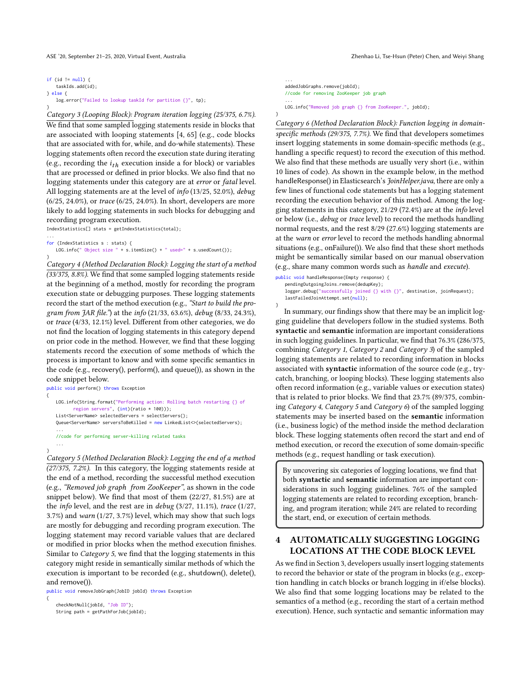ASE '20, September 21-25, 2020, Virtual Event, Australia Zhenhao Li, Tse-Hsun (Peter) Chen, and Weiyi Shang

if (id  $!=$  null) { taskIds.add(id); } else { log.error("Failed to lookup taskId for partition {}", tp); }

Category 3 (Looping Block): Program iteration logging (25/375, 6.7%). We find that some sampled logging statements reside in blocks that are associated with looping statements [4, 65] (e.g., code blocks that are associated with for, while, and do-while statements). These logging statements often record the execution state during iterating (e.g., recording the  $i_{th}$  execution inside a for block) or variables<br>that are processed or defined in prior blocks. We also find that no that are processed or defined in prior blocks. We also find that no logging statements under this category are at error or fatal level. All logging statements are at the level of info (13/25, 52.0%), debug (6/25, 24.0%), or trace (6/25, 24.0%). In short, developers are more likely to add logging statements in such blocks for debugging and recording program execution.

IndexStatistics[] stats = getIndexStatistics(total);

}

...

```
...
for (IndexStatistics s : stats) {
   LOG.info(" Object size " + s.itemSize() + " used=" + s.usedCount());
```
Category 4 (Method Declaration Block): Logging the start of a method (33/375, 8.8%). We find that some sampled logging statements reside at the beginning of a method, mostly for recording the program execution state or debugging purposes. These logging statements record the start of the method execution (e.g., "Start to build the program from JAR file.") at the info (21/33, 63.6%), debug (8/33, 24.3%), or trace (4/33, 12.1%) level. Different from other categories, we do not find the location of logging statements in this category depend on prior code in the method. However, we find that these logging statements record the execution of some methods of which the process is important to know and with some specific semantics in the code (e.g., recovery(), perform(), and queue()), as shown in the code snippet below.

```
public void perform() throws Exception
{
   LOG.info(String.format("Performing action: Rolling batch restarting {} of
          region servers", (int)(ratio * 100)));
   List<ServerName> selectedServers = selectServers();
   Queue<ServerName> serversToBeKilled = new LinkedList<>(selectedServers);
    ...
   //code for performing server-killing related tasks
```
} Category 5 (Method Declaration Block): Logging the end of a method (27/375, 7.2%). In this category, the logging statements reside at the end of a method, recording the successful method execution (e.g., "Removed job graph from ZooKeeper", as shown in the code snippet below). We find that most of them (22/27, 81.5%) are at the info level, and the rest are in debug (3/27, 11.1%), trace (1/27, 3.7%) and warn (1/27, 3.7%) level, which may show that such logs are mostly for debugging and recording program execution. The logging statement may record variable values that are declared or modified in prior blocks when the method execution finishes. Similar to Category 5, we find that the logging statements in this category might reside in semantically similar methods of which the execution is important to be recorded (e.g., shutdown(), delete(), and remove()).

public void removeJobGraph(JobID jobId) throws Exception {

checkNotNull(jobId, "Job ID"); String path = getPathForJob(jobId);

... addedJobGraphs.remove(jobId); //code for removing ZooKeeper job graph ... LOG.info("Removed job graph {} from ZooKeeper.", jobId);

}

Category 6 (Method Declaration Block): Function logging in domainspecific methods (29/375, 7.7%). We find that developers sometimes insert logging statements in some domain-specific methods (e.g., handling a specific request) to record the execution of this method. We also find that these methods are usually very short (i.e., within 10 lines of code). As shown in the example below, in the method handleResponse() in Elasticsearch's JoinHelper.java, there are only a few lines of functional code statements but has a logging statement recording the execution behavior of this method. Among the logging statements in this category, 21/29 (72.4%) are at the info level or below (i.e., debug or trace level) to record the methods handling normal requests, and the rest 8/29 (27.6%) logging statements are at the warn or error level to record the methods handling abnormal situations (e.g., onFailure()). We also find that these short methods might be semantically similar based on our manual observation (e.g., share many common words such as handle and execute).

```
public void handleResponse(Empty response) {
   pendingOutgoingJoins.remove(dedupKey);
   logger.debug("successfully joined {} with {}", destination, joinRequest);
   lastFailedJoinAttempt.set(null);
```
} In summary, our findings show that there may be an implicit logging guideline that developers follow in the studied systems. Both syntactic and semantic information are important considerations in such logging guidelines. In particular, we find that 76.3% (286/375, combining Category 1, Category 2 and Category 3) of the sampled logging statements are related to recording information in blocks associated with syntactic information of the source code (e.g., trycatch, branching, or looping blocks). These logging statements also often record information (e.g., variable values or execution states) that is related to prior blocks. We find that 23.7% (89/375, combining Category 4, Category 5 and Category 6) of the sampled logging statements may be inserted based on the semantic information (i.e., business logic) of the method inside the method declaration block. These logging statements often record the start and end of method execution, or record the execution of some domain-specific methods (e.g., request handling or task execution).

By uncovering six categories of logging locations, we find that both syntactic and semantic information are important considerations in such logging guidelines. 76% of the sampled logging statements are related to recording exception, branching, and program iteration; while 24% are related to recording the start, end, or execution of certain methods.

# 4 AUTOMATICALLY SUGGESTING LOGGING LOCATIONS AT THE CODE BLOCK LEVEL

As we find in Section 3, developers usually insert logging statements to record the behavior or state of the program in blocks (e.g., exception handling in catch blocks or branch logging in if/else blocks). We also find that some logging locations may be related to the semantics of a method (e.g., recording the start of a certain method execution). Hence, such syntactic and semantic information may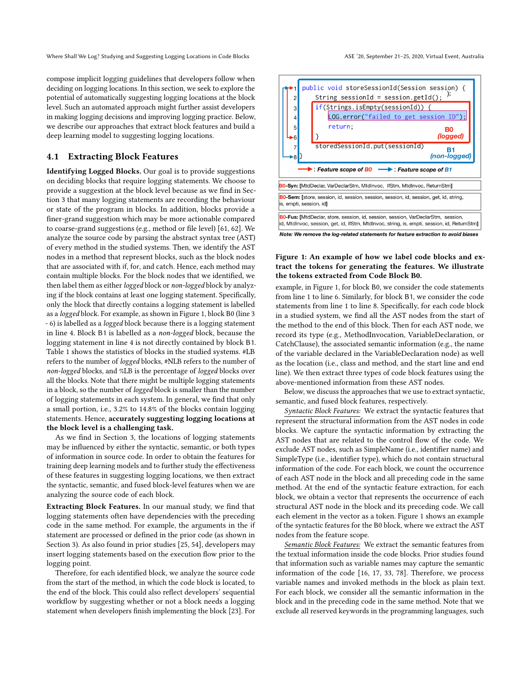Where Shall We Log? Studying and Suggesting Logging Locations in Code Blocks ASE '20, September 21-25, 2020, Virtual Event, Australia

compose implicit logging guidelines that developers follow when deciding on logging locations. In this section, we seek to explore the potential of automatically suggesting logging locations at the block level. Such an automated approach might further assist developers in making logging decisions and improving logging practice. Below, we describe our approaches that extract block features and build a deep learning model to suggesting logging locations.

## 4.1 Extracting Block Features

Identifying Logged Blocks. Our goal is to provide suggestions on deciding blocks that require logging statements. We choose to provide a suggestion at the block level because as we find in Section 3 that many logging statements are recording the behaviour or state of the program in blocks. In addition, blocks provide a finer-grand suggestion which may be more actionable compared to coarse-grand suggestions (e.g., method or file level) [61, 62]. We analyze the source code by parsing the abstract syntax tree (AST) of every method in the studied systems. Then, we identify the AST nodes in a method that represent blocks, such as the block nodes that are associated with if, for, and catch. Hence, each method may contain multiple blocks. For the block nodes that we identified, we then label them as either logged block or non-logged block by analyzing if the block contains at least one logging statement. Specifically, only the block that directly contains a logging statement is labelled as a logged block. For example, as shown in Figure 1, block B0 (line 3 - 6) is labelled as a logged block because there is a logging statement in line 4. Block B1 is labelled as a non-logged block, because the logging statement in line 4 is not directly contained by block B1. Table 1 shows the statistics of blocks in the studied systems. #LB refers to the number of logged blocks, #NLB refers to the number of non-logged blocks, and %LB is the percentage of logged blocks over all the blocks. Note that there might be multiple logging statements in a block, so the number of logged block is smaller than the number of logging statements in each system. In general, we find that only a small portion, i.e., 3.2% to 14.8% of the blocks contain logging statements. Hence, accurately suggesting logging locations at the block level is a challenging task.

As we find in Section 3, the locations of logging statements may be influenced by either the syntactic, semantic, or both types of information in source code. In order to obtain the features for training deep learning models and to further study the effectiveness of these features in suggesting logging locations, we then extract the syntactic, semantic, and fused block-level features when we are analyzing the source code of each block.

Extracting Block Features. In our manual study, we find that logging statements often have dependencies with the preceding code in the same method. For example, the arguments in the if statement are processed or defined in the prior code (as shown in Section 3). As also found in prior studies [25, 54], developers may insert logging statements based on the execution flow prior to the logging point.

Therefore, for each identified block, we analyze the source code from the start of the method, in which the code block is located, to the end of the block. This could also reflect developers' sequential workflow by suggesting whether or not a block needs a logging statement when developers finish implementing the block [23]. For



Note: We remove the log-related statements for feature extraction to avoid biases

## Figure 1: An example of how we label code blocks and extract the tokens for generating the features. We illustrate the tokens extracted from Code Block B0.

example, in Figure 1, for block B0, we consider the code statements from line 1 to line 6. Similarly, for block B1, we consider the code statements from line 1 to line 8. Specifically, for each code block in a studied system, we find all the AST nodes from the start of the method to the end of this block. Then for each AST node, we record its type (e.g., MethodInvocation, VariableDeclaration, or CatchClause), the associated semantic information (e.g., the name of the variable declared in the VariableDeclaration node) as well as the location (i.e., class and method, and the start line and end line). We then extract three types of code block features using the above-mentioned information from these AST nodes.

Below, we discuss the approaches that we use to extract syntactic, semantic, and fused block features, respectively.

Syntactic Block Features: We extract the syntactic features that represent the structural information from the AST nodes in code blocks. We capture the syntactic information by extracting the AST nodes that are related to the control flow of the code. We exclude AST nodes, such as SimpleName (i.e., identifier name) and SimpleType (i.e., identifier type), which do not contain structural information of the code. For each block, we count the occurrence of each AST node in the block and all preceding code in the same method. At the end of the syntactic feature extraction, for each block, we obtain a vector that represents the occurrence of each structural AST node in the block and its preceding code. We call each element in the vector as a token. Figure 1 shows an example of the syntactic features for the B0 block, where we extract the AST nodes from the feature scope.

Semantic Block Features: We extract the semantic features from the textual information inside the code blocks. Prior studies found that information such as variable names may capture the semantic information of the code [16, 17, 33, 78]. Therefore, we process variable names and invoked methods in the block as plain text. For each block, we consider all the semantic information in the block and in the preceding code in the same method. Note that we exclude all reserved keywords in the programming languages, such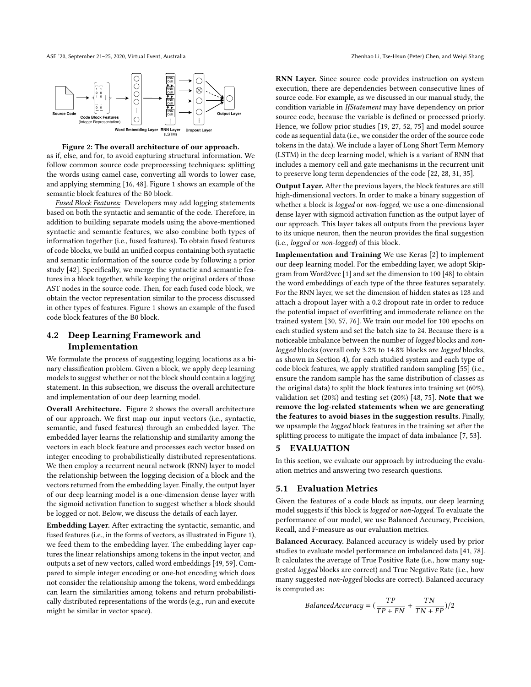ASE '20, September 21-25, 2020, Virtual Event, Australia Zhenhao Li, Tse-Hsun (Peter) Chen, and Weiyi Shang





as if, else, and for, to avoid capturing structural information. We follow common source code preprocessing techniques: splitting the words using camel case, converting all words to lower case, and applying stemming [16, 48]. Figure 1 shows an example of the semantic block features of the B0 block.

Fused Block Features: Developers may add logging statements based on both the syntactic and semantic of the code. Therefore, in addition to building separate models using the above-mentioned syntactic and semantic features, we also combine both types of information together (i.e., fused features). To obtain fused features of code blocks, we build an unified corpus containing both syntactic and semantic information of the source code by following a prior study [42]. Specifically, we merge the syntactic and semantic features in a block together, while keeping the original orders of those AST nodes in the source code. Then, for each fused code block, we obtain the vector representation similar to the process discussed in other types of features. Figure 1 shows an example of the fused code block features of the B0 block.

# 4.2 Deep Learning Framework and Implementation

We formulate the process of suggesting logging locations as a binary classification problem. Given a block, we apply deep learning models to suggest whether or not the block should contain a logging statement. In this subsection, we discuss the overall architecture and implementation of our deep learning model.

Overall Architecture. Figure 2 shows the overall architecture of our approach. We first map our input vectors (i.e., syntactic, semantic, and fused features) through an embedded layer. The embedded layer learns the relationship and similarity among the vectors in each block feature and processes each vector based on integer encoding to probabilistically distributed representations. We then employ a recurrent neural network (RNN) layer to model the relationship between the logging decision of a block and the vectors returned from the embedding layer. Finally, the output layer of our deep learning model is a one-dimension dense layer with the sigmoid activation function to suggest whether a block should be logged or not. Below, we discuss the details of each layer.

Embedding Layer. After extracting the syntactic, semantic, and fused features (i.e., in the forms of vectors, as illustrated in Figure 1), we feed them to the embedding layer. The embedding layer captures the linear relationships among tokens in the input vector, and outputs a set of new vectors, called word embeddings [49, 59]. Compared to simple integer encoding or one-hot encoding which does not consider the relationship among the tokens, word embeddings can learn the similarities among tokens and return probabilistically distributed representations of the words (e.g., run and execute might be similar in vector space).

RNN Layer. Since source code provides instruction on system execution, there are dependencies between consecutive lines of source code. For example, as we discussed in our manual study, the condition variable in IfStatement may have dependency on prior source code, because the variable is defined or processed priorly. Hence, we follow prior studies [19, 27, 52, 75] and model source code as sequential data (i.e., we consider the order of the source code tokens in the data). We include a layer of Long Short Term Memory (LSTM) in the deep learning model, which is a variant of RNN that includes a memory cell and gate mechanisms in the recurrent unit to preserve long term dependencies of the code [22, 28, 31, 35].

Output Layer. After the previous layers, the block features are still high-dimensional vectors. In order to make a binary suggestion of whether a block is *logged* or non-logged, we use a one-dimensional dense layer with sigmoid activation function as the output layer of our approach. This layer takes all outputs from the previous layer to its unique neuron, then the neuron provides the final suggestion (i.e., logged or non-logged) of this block.

Implementation and Training We use Keras [2] to implement our deep learning model. For the embedding layer, we adopt Skipgram from Word2vec [1] and set the dimension to 100 [48] to obtain the word embeddings of each type of the three features separately. For the RNN layer, we set the dimension of hidden states as 128 and attach a dropout layer with a 0.2 dropout rate in order to reduce the potential impact of overfitting and immoderate reliance on the trained system [30, 57, 76]. We train our model for 100 epochs on each studied system and set the batch size to 24. Because there is a noticeable imbalance between the number of logged blocks and nonlogged blocks (overall only 3.2% to 14.8% blocks are logged blocks, as shown in Section 4), for each studied system and each type of code block features, we apply stratified random sampling [55] (i.e., ensure the random sample has the same distribution of classes as the original data) to split the block features into training set (60%), validation set (20%) and testing set (20%) [48, 75]. Note that we remove the log-related statements when we are generating the features to avoid biases in the suggestion results. Finally, we upsample the logged block features in the training set after the splitting process to mitigate the impact of data imbalance [7, 53].

#### 5 EVALUATION

In this section, we evaluate our approach by introducing the evaluation metrics and answering two research questions.

#### 5.1 Evaluation Metrics

Given the features of a code block as inputs, our deep learning model suggests if this block is logged or non-logged. To evaluate the performance of our model, we use Balanced Accuracy, Precision, Recall, and F-measure as our evaluation metrics.

Balanced Accuracy. Balanced accuracy is widely used by prior studies to evaluate model performance on imbalanced data [41, 78]. It calculates the average of True Positive Rate (i.e., how many suggested logged blocks are correct) and True Negative Rate (i.e., how many suggested non-logged blocks are correct). Balanced accuracy is computed as:

$$
Balanced Accuracy = (\frac{TP}{TP + FN} + \frac{TN}{TN + FP})/2
$$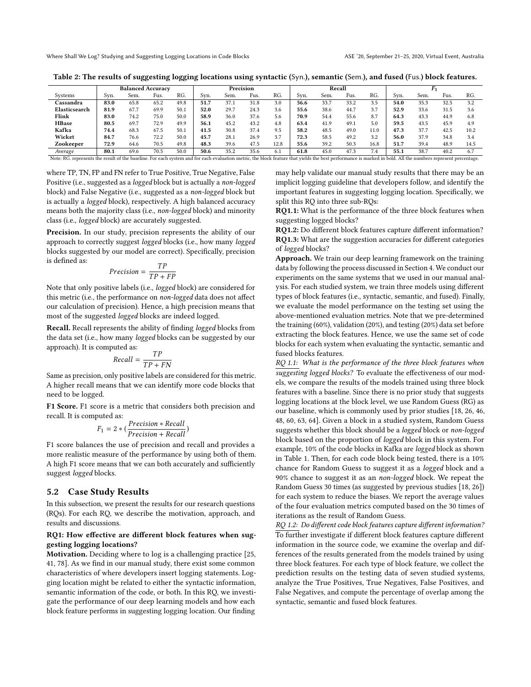Table 2: The results of suggesting logging locations using syntactic (Syn.), semantic (Sem.), and fused (Fus.) block features.

|      |      |      |      |                          | Precision |      |      |      | Recall |      |      |      |      |      |      |  |
|------|------|------|------|--------------------------|-----------|------|------|------|--------|------|------|------|------|------|------|--|
| Svn. | Sem. | Fus. | RG.  | Svn.                     | Sem.      | Fus. | RG.  | Svn. | Sem.   | Fus. | RG.  | Svn. | Sem. | Fus. | RG.  |  |
| 83.0 | 65.8 | 65.2 | 49.8 | 51.7                     | 37.1      | 31.8 | 3.0  | 56.6 | 33.7   | 33.2 | 3.5  | 54.0 | 35.3 | 32.5 | 3.2  |  |
| 81.9 | 67.7 | 69.9 | 50.1 | 52.0                     | 29.7      | 24.3 | 3.6  | 55.6 | 38.6   | 44.7 | 3.7  | 52.9 | 33.6 | 31.5 | 3.6  |  |
| 83.0 | 74.2 | 75.0 | 50.0 | 58.9                     | 36.0      | 37.6 | 5.6  | 70.9 | 54.4   | 55.6 | 8.7  | 64.3 | 43.3 | 44.9 | 6.8  |  |
| 80.5 | 69.7 | 72.9 | 49.9 | 56.1                     | 45.2      | 43.2 | 4.8  | 63.4 | 41.9   | 49.1 | 5.0  | 59.5 | 43.5 | 45.9 | 4.9  |  |
| 74.4 | 68.3 | 67.5 | 50.1 | 41.5                     | 30.8      | 37.4 | 9.5  | 58.2 | 48.5   | 49.0 | 11.0 | 47.3 | 37.7 | 42.5 | 10.2 |  |
| 84.7 | 76.6 | 72.2 | 50.0 | 45.7                     | 28.1      | 26.9 | 3.7  | 72.3 | 58.5   | 49.2 | 3.2  | 56.0 | 37.9 | 34.8 | 3.4  |  |
| 72.9 | 64.6 | 70.5 | 49.8 | 48.3                     | 39.6      | 47.5 | 12.8 | 55.6 | 39.2   | 50.3 | 16.8 | 51.7 | 39.4 | 48.9 | 14.5 |  |
| 80.1 | 69.6 | 70.5 | 50.0 | 50.6                     | 35.2      | 35.6 | 6.1  | 61.8 | 45.0   | 47.3 | 7.4  | 55.1 | 38.7 | 40.2 | 6.7  |  |
|      |      |      |      | <b>Balanced Accuracy</b> |           |      |      |      |        |      |      |      |      |      |      |  |

Note: RG. represents the result of the baseline. For each system and for each evaluation metric, the block feature that yields the best performance is marked in bold. All the numbers represent percentage.

where TP, TN, FP and FN refer to True Positive, True Negative, False Positive (i.e., suggested as a logged block but is actually a non-logged block) and False Negative (i.e., suggested as a non-logged block but is actually a logged block), respectively. A high balanced accuracy means both the majority class (i.e., non-logged block) and minority class (i.e., logged block) are accurately suggested.

Precision. In our study, precision represents the ability of our approach to correctly suggest logged blocks (i.e., how many logged blocks suggested by our model are correct). Specifically, precision is defined as:

$$
Precision = \frac{TP}{TP + FP}
$$

 $TP + FP$ <br>Note that only positive labels (i.e., *logged* block) are considered for this metric (i.e., the performance on non-logged data does not affect our calculation of precision). Hence, a high precision means that most of the suggested logged blocks are indeed logged.

Recall. Recall represents the ability of finding logged blocks from the data set (i.e., how many logged blocks can be suggested by our approach). It is computed as:

$$
Recall = \frac{TP}{TP + FN}
$$

 $TP + FN$ <br>Same as precision, only positive labels are considered for this metric. A higher recall means that we can identify more code blocks that need to be logged.

F1 Score. F1 score is a metric that considers both precision and recall. It is computed as:

$$
F_1 = 2 * (\frac{Precision * Recall}{Precision + Recall})
$$

 $F_1 = 2 * (\frac{P}{Precision + Recall})$ <br>F1 score balances the use of precision and recall and provides a more realistic measure of the performance by using both of them. A high F1 score means that we can both accurately and sufficiently suggest logged blocks.

## 5.2 Case Study Results

In this subsection, we present the results for our research questions (RQs). For each RQ, we describe the motivation, approach, and results and discussions.

## RQ1: How effective are different block features when suggesting logging locations?

Motivation. Deciding where to log is a challenging practice [25, 41, 78]. As we find in our manual study, there exist some common characteristics of where developers insert logging statements. Logging location might be related to either the syntactic information, semantic information of the code, or both. In this RQ, we investigate the performance of our deep learning models and how each block feature performs in suggesting logging location. Our finding

may help validate our manual study results that there may be an implicit logging guideline that developers follow, and identify the important features in suggesting logging location. Specifically, we split this RQ into three sub-RQs:

RQ1.1: What is the performance of the three block features when suggesting logged blocks?

RQ1.2: Do different block features capture different information? RQ1.3: What are the suggestion accuracies for different categories of logged blocks?

Approach. We train our deep learning framework on the training data by following the process discussed in Section 4. We conduct our experiments on the same systems that we used in our manual analysis. For each studied system, we train three models using different types of block features (i.e., syntactic, semantic, and fused). Finally, we evaluate the model performance on the testing set using the above-mentioned evaluation metrics. Note that we pre-determined the training (60%), validation (20%), and testing (20%) data set before extracting the block features. Hence, we use the same set of code blocks for each system when evaluating the syntactic, semantic and fused blocks features.

RQ 1.1: What is the performance of the three block features when suggesting logged blocks? To evaluate the effectiveness of our models, we compare the results of the models trained using three block features with a baseline. Since there is no prior study that suggests logging locations at the block level, we use Random Guess (RG) as our baseline, which is commonly used by prior studies [18, 26, 46, 48, 60, 63, 64]. Given a block in a studied system, Random Guess suggests whether this block should be a logged block or non-logged block based on the proportion of logged block in this system. For example, 10% of the code blocks in Kafka are logged block as shown in Table 1. Then, for each code block being tested, there is a 10% chance for Random Guess to suggest it as a logged block and a 90% chance to suggest it as an non-logged block. We repeat the Random Guess 30 times (as suggested by previous studies [18, 26]) for each system to reduce the biases. We report the average values of the four evaluation metrics computed based on the 30 times of iterations as the result of Random Guess.

RQ 1.2: Do different code block features capture different information? To further investigate if different block features capture different information in the source code, we examine the overlap and differences of the results generated from the models trained by using three block features. For each type of block feature, we collect the prediction results on the testing data of seven studied systems, analyze the True Positives, True Negatives, False Positives, and False Negatives, and compute the percentage of overlap among the syntactic, semantic and fused block features.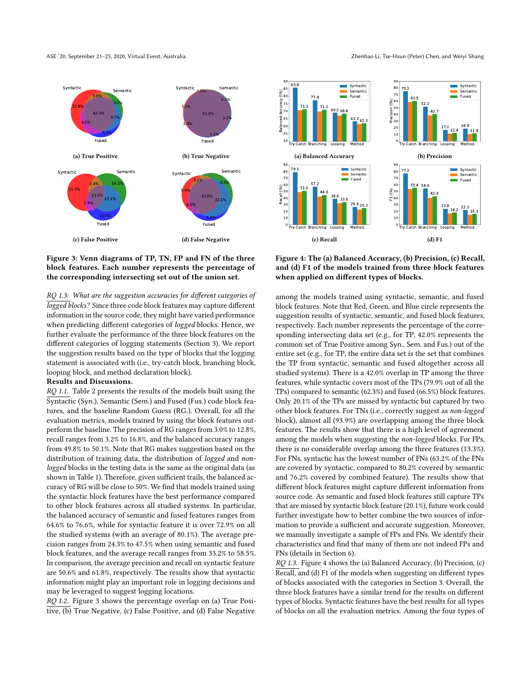



## RQ 1.3: What are the suggestion accuracies for different categories of logged blocks? Since three code block features may capture different information in the source code, they might have varied performance when predicting different categories of logged blocks. Hence, we further evaluate the performance of the three block features on the different categories of logging statements (Section 3). We report the suggestion results based on the type of blocks that the logging statement is associated with (i.e., try-catch block, branching block, looping block, and method declaration block).

#### Results and Discussions.

RQ 1.1. Table 2 presents the results of the models built using the Syntactic (Syn.), Semantic (Sem.) and Fused (Fus.) code block features, and the baseline Random Guess (RG.). Overall, for all the evaluation metrics, models trained by using the block features outperform the baseline. The precision of RG ranges from 3.0% to 12.8%, recall ranges from 3.2% to 16.8%, and the balanced accuracy ranges from 49.8% to 50.1%. Note that RG makes suggestion based on the distribution of training data, the distribution of logged and nonlogged blocks in the testing data is the same as the original data (as shown in Table 1). Therefore, given sufficient trails, the balanced accuracy of RG will be close to 50%. We find that models trained using the syntactic block features have the best performance compared to other block features across all studied systems. In particular, the balanced accuracy of semantic and fused features ranges from 64.6% to 76.6%, while for syntactic feature it is over 72.9% on all the studied systems (with an average of 80.1%). The average precision ranges from 24.3% to 47.5% when using semantic and fused block features, and the average recall ranges from 33.2% to 58.5%. In comparison, the average precision and recall on syntactic feature are 50.6% and 61.8%, respectively. The results show that syntactic information might play an important role in logging decisions and may be leveraged to suggest logging locations.

RQ 1.2. Figure 3 shows the percentage overlap on (a) True Positive, (b) True Negative, (c) False Positive, and (d) False Negative





Figure 4: The (a) Balanced Accuracy, (b) Precision, (c) Recall, and (d) F1 of the models trained from three block features when applied on different types of blocks.

among the models trained using syntactic, semantic, and fused block features. Note that Red, Green, and Blue circle represents the suggestion results of syntactic, semantic, and fused block features, respectively. Each number represents the percentage of the corresponding intersecting data set (e.g., for TP, 42.0% represents the common set of True Positive among Syn., Sem. and Fus.) out of the entire set (e.g., for TP, the entire data set is the set that combines the TP from syntactic, semantic and fused altogether across all studied systems). There is a 42.0% overlap in TP among the three features, while syntactic covers most of the TPs (79.9% out of all the TPs) compared to semantic (62.3%) and fused (66.5%) block features. Only 20.1% of the TPs are missed by syntactic but captured by two other block features. For TNs (i.e., correctly suggest as non-logged block), almost all (93.9%) are overlapping among the three block features. The results show that there is a high level of agreement among the models when suggesting the non-logged blocks. For FPs, there is no considerable overlap among the three features (13.3%). For FNs, syntactic has the lowest number of FNs (63.2% of the FNs are covered by syntactic, compared to 80.2% covered by semantic and 76.2% covered by combined feature). The results show that different block features might capture different information from source code. As semantic and fused block features still capture TPs that are missed by syntactic block feature (20.1%), future work could further investigate how to better combine the two sources of information to provide a sufficient and accurate suggestion. Moreover, we manually investigate a sample of FPs and FNs. We identify their characteristics and find that many of them are not indeed FPs and FNs (details in Section 6).

RQ 1.3. Figure 4 shows the (a) Balanced Accuracy, (b) Precision, (c) Recall, and (d) F1 of the models when suggesting on different types of blocks associated with the categories in Section 3. Overall, the three block features have a similar trend for the results on different types of blocks. Syntactic features have the best results for all types of blocks on all the evaluation metrics. Among the four types of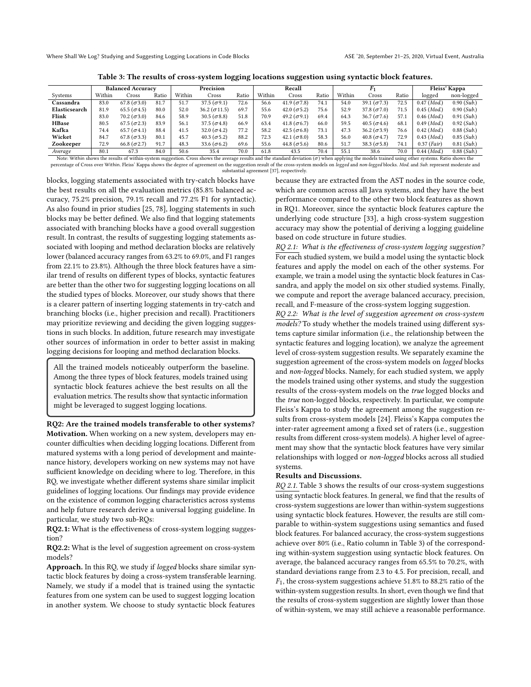Table 3: The results of cross-system logging locations suggestion using syntactic block features.

|               | <b>Balanced Accuracy</b> |                      |       | Precision |                      |       | Recall |                      |       |        |                      |       | Fleiss' Kappa          |                        |
|---------------|--------------------------|----------------------|-------|-----------|----------------------|-------|--------|----------------------|-------|--------|----------------------|-------|------------------------|------------------------|
| Systems       | Within                   | Cross                | Ratio | Within    | Cross                | Ratio | Within | Cross                | Ratio | Within | Cross                | Ratio | logged                 | non-logged             |
| Cassandra     | 83.0                     | $67.8 (\sigma 3.0)$  | 81.7  | 51.7      | $37.5 (\sigma 9.1)$  | 72.6  | 56.6   | $41.9 (\sigma 7.8)$  | 74.1  | 54.0   | 39.1 $(\sigma$ 7.3)  | 72.5  | $0.47$ ( <i>Mod.</i> ) | $0.90$ ( <i>Sub.</i> ) |
| Elasticsearch | 81.9                     | 65.5 $(\sigma$ 4.5)  | 80.0  | 52.0      | $36.2 (\sigma 11.5)$ | 69.7  | 55.6   | 42.0 ( $\sigma$ 5.2) | 75.6  | 52.9   | 37.8 $(\sigma$ 7.0)  | 71.5  | $0.45$ ( <i>Mod.</i> ) | $0.90$ ( <i>Sub.</i> ) |
| Flink         | 83.0                     | 70.2 $(\sigma$ 3.0)  | 84.6  | 58.9      | 30.5 ( $\sigma$ 8.8) | 51.8  | 70.9   | 49.2 $(\sigma$ 9.1)  | 69.4  | 64.3   | $36.7\ (\sigma 7.6)$ | 57.1  | $0.46$ ( <i>Mod.</i> ) | $0.91$ ( <i>Sub.</i> ) |
| <b>HBase</b>  | 80.5                     | $67.5(\sigma2.3)$    | 83.9  | 56.1      | 37.5 $(\sigma$ 4.8)  | 66.9  | 63.4   | 41.8 ( $\sigma$ 6.7) | 66.0  | 59.5   | 40.5 ( $\sigma$ 4.6) | 68.1  | $0.49$ ( <i>Mod.</i> ) | $0.92$ (Sub.)          |
| Kafka         | 74.4                     | 65.7 ( $\sigma$ 4.1) | 88.4  | 41.5      | 32.0 $(\sigma$ 4.2)  | 77.2  | 58.2   | 42.5 ( $\sigma$ 6.8) | 73.1  | 47.3   | $36.2 (\sigma 3.9)$  | 76.6  | $0.42$ ( <i>Mod.</i> ) | $0.88$ ( <i>Sub.</i> ) |
| Wicket        | 84.7                     | 67.8 $(\sigma$ 3.3)  | 80.1  | 45.7      | $40.3 (\sigma 5.2)$  | 88.2  | 72.3   | 42.1 ( $\sigma$ 8.0) | 58.3  | 56.0   | 40.8 $(\sigma$ 4.7)  | 72.9  | $0.43$ ( <i>Mod.</i> ) | $0.85$ ( <i>Sub.</i> ) |
| Zookeeper     | 72.9                     | 66.8 $(\sigma$ 2.7)  | 91.7  | 48.3      | 33.6 $(\sigma$ 6.2)  | 69.6  | 55.6   | 44.8 ( $\sigma$ 5.6) | 80.6  | 51.7   | 38.3 ( $\sigma$ 5.8) | 74.1  | $0.37$ ( <i>Fair</i> ) | $0.81$ ( <i>Sub.</i> ) |
| Average       | 80.1                     | 67.3                 | 84.0  | 50.6      | 35.4                 | 70.0  | 61.8   | 43.5                 | 70.4  | 55.1   | 38.6                 | 70.0  | $0.44 \ (Mod.)$        | $0.88$ ( <i>Sub.</i> ) |

Note: Within shows the results of within-system suggestion. Cross shows the average results and the standard deviation  $(\sigma)$  when applying the models trained using other systems. Ratio shows the percentage of Cross over W substantial agreement [37], respectively.

blocks, logging statements associated with try-catch blocks have the best results on all the evaluation metrics (85.8% balanced accuracy, 75.2% precision, 79.1% recall and 77.2% F1 for syntactic). As also found in prior studies [25, 78], logging statements in such blocks may be better defined. We also find that logging statements associated with branching blocks have a good overall suggestion result. In contrast, the results of suggesting logging statements associated with looping and method declaration blocks are relatively lower (balanced accuracy ranges from 63.2% to 69.0%, and F1 ranges from 22.1% to 23.8%). Although the three block features have a similar trend of results on different types of blocks, syntactic features are better than the other two for suggesting logging locations on all the studied types of blocks. Moreover, our study shows that there is a clearer pattern of inserting logging statements in try-catch and branching blocks (i.e., higher precision and recall). Practitioners may prioritize reviewing and deciding the given logging suggestions in such blocks. In addition, future research may investigate other sources of information in order to better assist in making logging decisions for looping and method declaration blocks.

All the trained models noticeably outperform the baseline. Among the three types of block features, models trained using syntactic block features achieve the best results on all the evaluation metrics. The results show that syntactic information might be leveraged to suggest logging locations.

RQ2: Are the trained models transferable to other systems? Motivation. When working on a new system, developers may encounter difficulties when deciding logging locations. Different from matured systems with a long period of development and maintenance history, developers working on new systems may not have sufficient knowledge on deciding where to log. Therefore, in this RQ, we investigate whether different systems share similar implicit guidelines of logging locations. Our findings may provide evidence on the existence of common logging characteristics across systems and help future research derive a universal logging guideline. In particular, we study two sub-RQs:

RQ2.1: What is the effectiveness of cross-system logging suggestion?

RQ2.2: What is the level of suggestion agreement on cross-system models?

Approach. In this RQ, we study if logged blocks share similar syntactic block features by doing a cross-system transferable learning. Namely, we study if a model that is trained using the syntactic features from one system can be used to suggest logging location in another system. We choose to study syntactic block features

because they are extracted from the AST nodes in the source code, which are common across all Java systems, and they have the best performance compared to the other two block features as shown in RQ1. Moreover, since the syntactic block features capture the underlying code structure [33], a high cross-system suggestion accuracy may show the potential of deriving a logging guideline based on code structure in future studies.

RQ 2.1: What is the effectiveness of cross-system logging suggestion? For each studied system, we build a model using the syntactic block features and apply the model on each of the other systems. For example, we train a model using the syntactic block features in Cassandra, and apply the model on six other studied systems. Finally, we compute and report the average balanced accuracy, precision, recall, and F-measure of the cross-system logging suggestion.

RQ 2.2: What is the level of suggestion agreement on cross-system models? To study whether the models trained using different systems capture similar information (i.e., the relationship between the syntactic features and logging location), we analyze the agreement level of cross-system suggestion results. We separately examine the suggestion agreement of the cross-system models on logged blocks and non-logged blocks. Namely, for each studied system, we apply the models trained using other systems, and study the suggestion results of the cross-system models on the true logged blocks and the true non-logged blocks, respectively. In particular, we compute Fleiss's Kappa to study the agreement among the suggestion results from cross-system models [24]. Fleiss's Kappa computes the inter-rater agreement among a fixed set of raters (i.e., suggestion results from different cross-system models). A higher level of agreement may show that the syntactic block features have very similar relationships with logged or non-logged blocks across all studied systems.

#### Results and Discussions.

RQ 2.1. Table 3 shows the results of our cross-system suggestions using syntactic block features. In general, we find that the results of cross-system suggestions are lower than within-system suggestions using syntactic block features. However, the results are still comparable to within-system suggestions using semantics and fused block features. For balanced accuracy, the cross-system suggestions achieve over 80% (i.e., Ratio column in Table 3) of the corresponding within-system suggestion using syntactic block features. On average, the balanced accuracy ranges from 65.5% to 70.2%, with standard deviations range from 2.3 to 4.5. For precision, recall, and  $F_1$ , the cross-system suggestions achieve 51.8% to 88.2% ratio of the within-system suggestion results. In short, even though we find that the results of cross-system suggestion are slightly lower than those of within-system, we may still achieve a reasonable performance.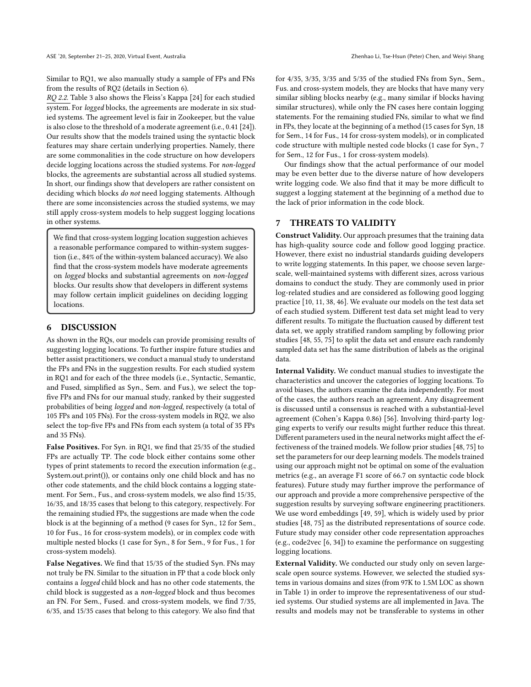Similar to RQ1, we also manually study a sample of FPs and FNs from the results of RQ2 (details in Section 6).

RQ 2.2. Table 3 also shows the Fleiss's Kappa [24] for each studied system. For logged blocks, the agreements are moderate in six studied systems. The agreement level is fair in Zookeeper, but the value is also close to the threshold of a moderate agreement (i.e., 0.41 [24]). Our results show that the models trained using the syntactic block features may share certain underlying properties. Namely, there are some commonalities in the code structure on how developers decide logging locations across the studied systems. For non-logged blocks, the agreements are substantial across all studied systems. In short, our findings show that developers are rather consistent on deciding which blocks do not need logging statements. Although there are some inconsistencies across the studied systems, we may still apply cross-system models to help suggest logging locations in other systems.

We find that cross-system logging location suggestion achieves a reasonable performance compared to within-system suggestion (i.e., 84% of the within-system balanced accuracy). We also find that the cross-system models have moderate agreements on logged blocks and substantial agreements on non-logged blocks. Our results show that developers in different systems may follow certain implicit guidelines on deciding logging locations.

## 6 DISCUSSION

As shown in the RQs, our models can provide promising results of suggesting logging locations. To further inspire future studies and better assist practitioners, we conduct a manual study to understand the FPs and FNs in the suggestion results. For each studied system in RQ1 and for each of the three models (i.e., Syntactic, Semantic, and Fused, simplified as Syn., Sem. and Fus.), we select the topfive FPs and FNs for our manual study, ranked by their suggested probabilities of being logged and non-logged, respectively (a total of 105 FPs and 105 FNs). For the cross-system models in RQ2, we also select the top-five FPs and FNs from each system (a total of 35 FPs and 35 FNs).

False Positives. For Syn. in RQ1, we find that 25/35 of the studied FPs are actually TP. The code block either contains some other types of print statements to record the execution information (e.g., System.out.print()), or contains only one child block and has no other code statements, and the child block contains a logging statement. For Sem., Fus., and cross-system models, we also find 15/35, 16/35, and 18/35 cases that belong to this category, respectively. For the remaining studied FPs, the suggestions are made when the code block is at the beginning of a method (9 cases for Syn., 12 for Sem., 10 for Fus., 16 for cross-system models), or in complex code with multiple nested blocks (1 case for Syn., 8 for Sem., 9 for Fus., 1 for cross-system models).

False Negatives. We find that 15/35 of the studied Syn. FNs may not truly be FN. Similar to the situation in FP that a code block only contains a logged child block and has no other code statements, the child block is suggested as a non-logged block and thus becomes an FN. For Sem., Fused. and cross-system models, we find 7/35, 6/35, and 15/35 cases that belong to this category. We also find that

for 4/35, 3/35, 3/35 and 5/35 of the studied FNs from Syn., Sem., Fus. and cross-system models, they are blocks that have many very similar sibling blocks nearby (e.g., many similar if blocks having similar structures), while only the FN cases here contain logging statements. For the remaining studied FNs, similar to what we find in FPs, they locate at the beginning of a method (15 cases for Syn, 18 for Sem., 14 for Fus., 14 for cross-system models), or in complicated code structure with multiple nested code blocks (1 case for Syn., 7 for Sem., 12 for Fus., 1 for cross-system models).

Our findings show that the actual performance of our model may be even better due to the diverse nature of how developers write logging code. We also find that it may be more difficult to suggest a logging statement at the beginning of a method due to the lack of prior information in the code block.

## 7 THREATS TO VALIDITY

Construct Validity. Our approach presumes that the training data has high-quality source code and follow good logging practice. However, there exist no industrial standards guiding developers to write logging statements. In this paper, we choose seven largescale, well-maintained systems with different sizes, across various domains to conduct the study. They are commonly used in prior log-related studies and are considered as following good logging practice [10, 11, 38, 46]. We evaluate our models on the test data set of each studied system. Different test data set might lead to very different results. To mitigate the fluctuation caused by different test data set, we apply stratified random sampling by following prior studies [48, 55, 75] to split the data set and ensure each randomly sampled data set has the same distribution of labels as the original data.

Internal Validity. We conduct manual studies to investigate the characteristics and uncover the categories of logging locations. To avoid biases, the authors examine the data independently. For most of the cases, the authors reach an agreement. Any disagreement is discussed until a consensus is reached with a substantial-level agreement (Cohen's Kappa 0.86) [56]. Involving third-party logging experts to verify our results might further reduce this threat. Different parameters used in the neural networks might affect the effectiveness of the trained models. We follow prior studies [48, 75] to set the parameters for our deep learning models. The models trained using our approach might not be optimal on some of the evaluation metrics (e.g., an average F1 score of 66.7 on syntactic code block features). Future study may further improve the performance of our approach and provide a more comprehensive perspective of the suggestion results by surveying software engineering practitioners. We use word embeddings [49, 59], which is widely used by prior studies [48, 75] as the distributed representations of source code. Future study may consider other code representation approaches (e.g., code2vec [6, 34]) to examine the performance on suggesting logging locations.

External Validity. We conducted our study only on seven largescale open source systems. However, we selected the studied systems in various domains and sizes (from 97K to 1.5M LOC as shown in Table 1) in order to improve the representativeness of our studied systems. Our studied systems are all implemented in Java. The results and models may not be transferable to systems in other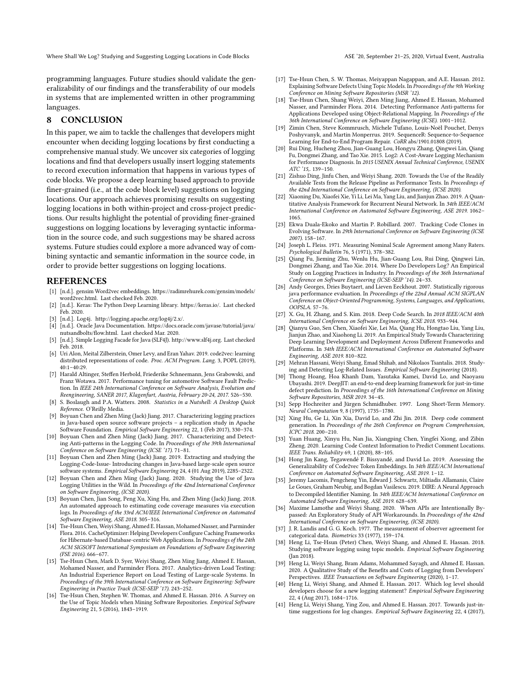Where Shall We Log? Studying and Suggesting Logging Locations in Code Blocks ASE '20, September 21-25, 2020, Virtual Event, Australia

programming languages. Future studies should validate the generalizability of our findings and the transferability of our models in systems that are implemented written in other programming languages.

# 8 CONCLUSION

In this paper, we aim to tackle the challenges that developers might encounter when deciding logging locations by first conducting a comprehensive manual study. We uncover six categories of logging locations and find that developers usually insert logging statements to record execution information that happens in various types of code blocks. We propose a deep learning based approach to provide finer-grained (i.e., at the code block level) suggestions on logging locations. Our approach achieves promising results on suggesting logging locations in both within-project and cross-project predictions. Our results highlight the potential of providing finer-grained suggestions on logging locations by leveraging syntactic information in the source code, and such suggestions may be shared across systems. Future studies could explore a more advanced way of combining syntactic and semantic information in the source code, in order to provide better suggestions on logging locations.

#### REFERENCES

- [1] [n.d.]. gensim Word2vec embeddings. https://radimrehurek.com/gensim/models/ word2vec.html. Last checked Feb. 2020.
- [2] [n.d.]. Keras: The Python Deep Learning library. https://keras.io/. Last checked Feb. 2020.
- [3] [n.d.]. Log4j. http://logging.apache.org/log4j/2.x/.
- [4] [n.d.]. Oracle Java Documentation. https://docs.oracle.com/javase/tutorial/java/ nutsandbolts/flow.html. Last checked Mar. 2020.
- [5] [n.d.]. Simple Logging Facade for Java (SLF4J). http://www.slf4j.org. Last checked Feb. 2018.
- [6] Uri Alon, Meital Zilberstein, Omer Levy, and Eran Yahav. 2019. code2vec: learning distributed representations of code. Proc. ACM Program. Lang. 3, POPL (2019),  $40:1-40:29$
- [7] Harald Altinger, Steffen Herbold, Friederike Schneemann, Jens Grabowski, and Franz Wotawa. 2017. Performance tuning for automotive Software Fault Prediction. In IEEE 24th International Conference on Software Analysis, Evolution and Reengineering, SANER 2017, Klagenfurt, Austria, February 20-24, 2017. 526–530.
- [8] S. Boslaugh and P.A. Watters. 2008. Statistics in a Nutshell: A Desktop Quick Reference. O'Reilly Media.
- [9] Boyuan Chen and Zhen Ming (Jack) Jiang. 2017. Characterizing logging practices in Java-based open source software projects – a replication study in Apache Software Foundation. Empirical Software Engineering 22, 1 (Feb 2017), 330–374.
- [10] Boyuan Chen and Zhen Ming (Jack) Jiang. 2017. Characterizing and Detecting Anti-patterns in the Logging Code. In Proceedings of the 39th International Conference on Software Engineering (ICSE '17). 71–81.
- [11] Boyuan Chen and Zhen Ming (Jack) Jiang. 2019. Extracting and studying the Logging-Code-Issue- Introducing changes in Java-based large-scale open source software systems. Empirical Software Engineering 24, 4 (01 Aug 2019), 2285–2322.
- [12] Boyuan Chen and Zhen Ming (Jack) Jiang. 2020. Studying the Use of Java Logging Utilities in the Wild. In Proceedings of the 42nd International Conference on Software Engineering, (ICSE 2020).
- [13] Boyuan Chen, Jian Song, Peng Xu, Xing Hu, and Zhen Ming (Jack) Jiang. 2018. An automated approach to estimating code coverage measures via execution logs. In Proceedings of the 33rd ACM/IEEE International Conference on Automated Software Engineering, ASE 2018. 305–316.
- [14] Tse-Hsun Chen, Weiyi Shang, Ahmed E. Hassan, Mohamed Nasser, and Parminder Flora. 2016. CacheOptimizer: Helping Developers Configure Caching Frameworks for Hibernate-based Database-centric Web Applications. In Proceedings of the 24th ACM SIGSOFT International Symposium on Foundations of Software Engineering (FSE 2016). 666–677.
- [15] Tse-Hsun Chen, Mark D. Syer, Weiyi Shang, Zhen Ming Jiang, Ahmed E. Hassan, Mohamed Nasser, and Parminder Flora. 2017. Analytics-driven Load Testing: An Industrial Experience Report on Load Testing of Large-scale Systems. In Proceedings of the 39th International Conference on Software Engineering: Software Engineering in Practice Track (ICSE-SEIP '17). 243–252.
- [16] Tse-Hsun Chen, Stephen W. Thomas, and Ahmed E. Hassan. 2016. A Survey on the Use of Topic Models when Mining Software Repositories. Empirical Software Engineering 21, 5 (2016), 1843–1919.
- [17] Tse-Hsun Chen, S. W. Thomas, Meiyappan Nagappan, and A.E. Hassan. 2012. Explaining Software Defects Using Topic Models. In Proceedings of the 9th Working Conference on Mining Software Repositories (MSR '12).
- [18] Tse-Hsun Chen, Shang Weiyi, Zhen Ming Jiang, Ahmed E. Hassan, Mohamed Nasser, and Parminder Flora. 2014. Detecting Performance Anti-patterns for Applications Developed using Object-Relational Mapping. In Proceedings of the 36th International Conference on Software Engineering (ICSE). 1001–1012.
- [19] Zimin Chen, Steve Kommrusch, Michele Tufano, Louis-Noël Pouchet, Denys Poshyvanyk, and Martin Monperrus. 2019. SequenceR: Sequence-to-Sequence Learning for End-to-End Program Repair. CoRR abs/1901.01808 (2019).
- [20] Rui Ding, Hucheng Zhou, Jian-Guang Lou, Hongyu Zhang, Qingwei Lin, Qiang Fu, Dongmei Zhang, and Tao Xie. 2015. Log2: A Cost-Aware Logging Mechanism for Performance Diagnosis. In 2015 USENIX Annual Technical Conference, USENIX ATC '15,. 139–150.
- [21] Zishuo Ding, Jinfu Chen, and Weiyi Shang. 2020. Towards the Use of the Readily Available Tests from the Release Pipeline as Performance Tests. In Proceedings of the 42nd International Conference on Software Engineering, (ICSE 2020).
- [22] Xiaoning Du, Xiaofei Xie, Yi Li, Lei Ma, Yang Liu, and Jianjun Zhao. 2019. A Quantitative Analysis Framework for Recurrent Neural Network. In 34th IEEE/ACM International Conference on Automated Software Engineering, ASE 2019. 1062– 1065.
- [23] Ekwa Duala-Ekoko and Martin P. Robillard. 2007. Tracking Code Clones in Evolving Software. In 29th International Conference on Software Engineering (ICSE 2007). 158–167.
- [24] Joseph L. Fleiss. 1971. Measuring Nominal Scale Agreement among Many Raters. Psychological Bulletin 76, 5 (1971), 378–382.
- [25] Qiang Fu, Jieming Zhu, Wenlu Hu, Jian-Guang Lou, Rui Ding, Qingwei Lin, Dongmei Zhang, and Tao Xie. 2014. Where Do Developers Log? An Empirical Study on Logging Practices in Industry. In Proceedings of the 36th International Conference on Software Engineering (ICSE-SEIP '14). 24–33.
- [26] Andy Georges, Dries Buytaert, and Lieven Eeckhout. 2007. Statistically rigorous java performance evaluation. In Proceedings of the 22nd Annual ACM SIGPLAN Conference on Object-Oriented Programming, Systems, Languages, and Applications, OOPSLA. 57–76.
- [27] X. Gu, H. Zhang, and S. Kim. 2018. Deep Code Search. In 2018 IEEE/ACM 40th International Conference on Software Engineering, ICSE 2018. 933–944.
- [28] Qianyu Guo, Sen Chen, Xiaofei Xie, Lei Ma, Qiang Hu, Hongtao Liu, Yang Liu, Jianjun Zhao, and Xiaohong Li. 2019. An Empirical Study Towards Characterizing Deep Learning Development and Deployment Across Different Frameworks and Platforms. In 34th IEEE/ACM International Conference on Automated Software Engineering, ASE 2019. 810–822.
- [29] Mehran Hassani, Weiyi Shang, Emad Shihab, and Nikolaos Tsantalis. 2018. Studying and Detecting Log-Related Issues. Empirical Software Engineering (2018).
- [30] Thong Hoang, Hoa Khanh Dam, Yasutaka Kamei, David Lo, and Naoyasu Ubayashi. 2019. DeepJIT: an end-to-end deep learning framework for just-in-time defect prediction. In Proceedings of the 16th International Conference on Mining Software Repositories, MSR 2019. 34–45.
- [31] Sepp Hochreiter and Jürgen Schmidhuber. 1997. Long Short-Term Memory. Neural Computation 9, 8 (1997), 1735–1780.
- [32] Xing Hu, Ge Li, Xin Xia, David Lo, and Zhi Jin. 2018. Deep code comment generation. In Proceedings of the 26th Conference on Program Comprehension, ICPC 2018. 200–210.
- [33] Yuan Huang, Xinyu Hu, Nan Jia, Xiangping Chen, Yingfei Xiong, and Zibin Zheng. 2020. Learning Code Context Information to Predict Comment Locations. IEEE Trans. Reliability 69, 1 (2020), 88–105.
- [34] Hong Jin Kang, Tegawendé F. Bissyandé, and David Lo. 2019. Assessing the Generalizability of Code2vec Token Embeddings. In 34th IEEE/ACM International Conference on Automated Software Engineering, ASE 2019. 1–12.
- [35] Jeremy Lacomis, Pengcheng Yin, Edward J. Schwartz, Miltiadis Allamanis, Claire Le Goues, Graham Neubig, and Bogdan Vasilescu. 2019. DIRE: A Neural Approach to Decompiled Identifier Naming. In 34th IEEE/ACM International Conference on Automated Software Engineering, ASE 2019. 628–639.
- [36] Maxime Lamothe and Weiyi Shang. 2020. When APIs are Intentionally Bypassed: An Exploratory Study of API Workarounds. In Proceedings of the 42nd International Conference on Software Engineering, (ICSE 2020).
- [37] J. R. Landis and G. G. Koch. 1977. The measurement of observer agreement for categorical data. Biometrics 33 (1977), 159–174.
- [38] Heng Li, Tse-Hsun (Peter) Chen, Weiyi Shang, and Ahmed E. Hassan. 2018. Studying software logging using topic models. Empirical Software Engineering (Jan 2018).
- [39] Heng Li, Weiyi Shang, Bram Adams, Mohammed Sayagh, and Ahmed E. Hassan. 2020. A Qualitative Study of the Benefits and Costs of Logging from Developers' Perspectives. IEEE Transactions on Software Engineering (2020), 1–17.
- [40] Heng Li, Weiyi Shang, and Ahmed E. Hassan. 2017. Which log level should developers choose for a new logging statement? Empirical Software Engineering 22, 4 (Aug 2017), 1684–1716.
- [41] Heng Li, Weiyi Shang, Ying Zou, and Ahmed E. Hassan. 2017. Towards just-intime suggestions for log changes. Empirical Software Engineering 22, 4 (2017),